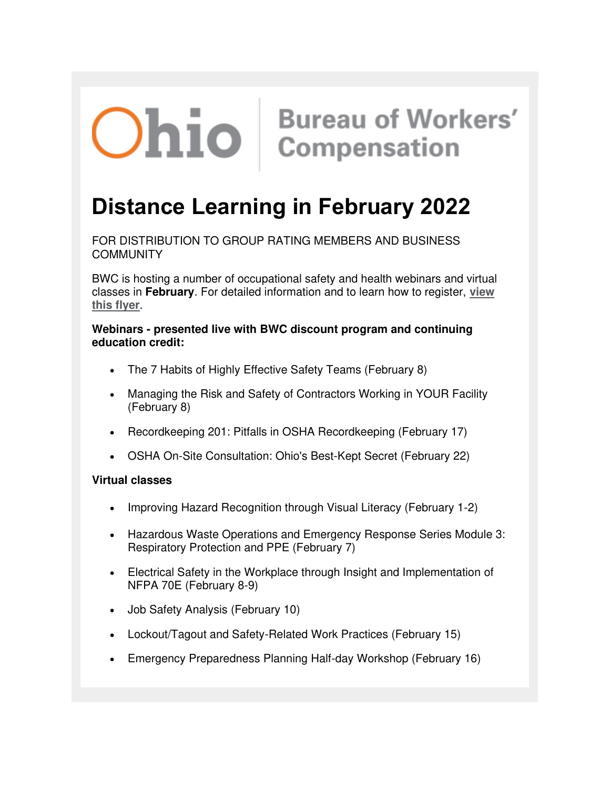# **Ohio** Bureau of Workers'

## **Distance Learning in February 2022**

FOR DISTRIBUTION TO GROUP RATING MEMBERS AND BUSINESS **COMMUNITY** 

BWC is hosting a number of occupational safety and health webinars and virtual classes in **February**. For detailed information and to learn how to register, **[view](https://lnks.gd/l/eyJhbGciOiJIUzI1NiJ9.eyJidWxsZXRpbl9saW5rX2lkIjoxMDAsInVyaSI6ImJwMjpjbGljayIsImJ1bGxldGluX2lkIjoiMjAyMjAxMjcuNTI0NDU5MzEiLCJ1cmwiOiJodHRwczovL3d3dy5id2NsZWFybmluZ2NlbnRlci5jb20vQ1NlcnZlci9Eb2N1bWVudC80MTlFOEJEMjRFRjA0M0E1ODY4RUExQjVDRThBRDU2Ny9EaXN0YW5jZUxlYXJuaW5nX0ZlYjIwMjItZmluYWwucGRmIn0.FTbNTIVqs3IAg6H4CeHybcrL7vknHnvw56vBIAhtguQ/s/1247994045/br/125721718657-l)  [this flyer](https://lnks.gd/l/eyJhbGciOiJIUzI1NiJ9.eyJidWxsZXRpbl9saW5rX2lkIjoxMDAsInVyaSI6ImJwMjpjbGljayIsImJ1bGxldGluX2lkIjoiMjAyMjAxMjcuNTI0NDU5MzEiLCJ1cmwiOiJodHRwczovL3d3dy5id2NsZWFybmluZ2NlbnRlci5jb20vQ1NlcnZlci9Eb2N1bWVudC80MTlFOEJEMjRFRjA0M0E1ODY4RUExQjVDRThBRDU2Ny9EaXN0YW5jZUxlYXJuaW5nX0ZlYjIwMjItZmluYWwucGRmIn0.FTbNTIVqs3IAg6H4CeHybcrL7vknHnvw56vBIAhtguQ/s/1247994045/br/125721718657-l)**.

#### **Webinars - presented live with BWC discount program and continuing education credit:**

- The 7 Habits of Highly Effective Safety Teams (February 8)
- Managing the Risk and Safety of Contractors Working in YOUR Facility (February 8)
- Recordkeeping 201: Pitfalls in OSHA Recordkeeping (February 17)
- OSHA On-Site Consultation: Ohio's Best-Kept Secret (February 22)

### **Virtual classes**

- Improving Hazard Recognition through Visual Literacy (February 1-2)
- Hazardous Waste Operations and Emergency Response Series Module 3: Respiratory Protection and PPE (February 7)
- Electrical Safety in the Workplace through Insight and Implementation of NFPA 70E (February 8-9)
- Job Safety Analysis (February 10)
- Lockout/Tagout and Safety-Related Work Practices (February 15)
- Emergency Preparedness Planning Half-day Workshop (February 16)